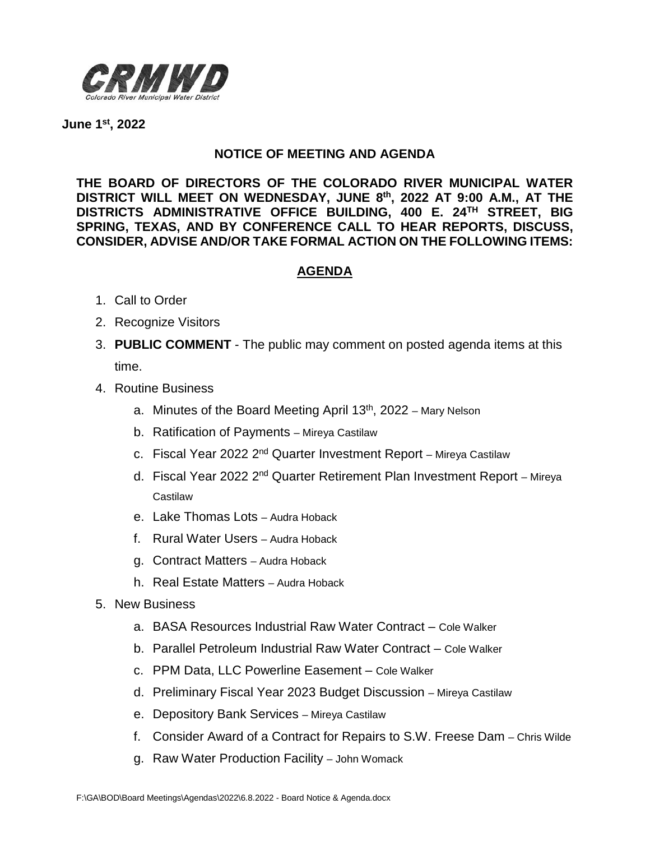

**June 1st, 2022**

## **NOTICE OF MEETING AND AGENDA**

**THE BOARD OF DIRECTORS OF THE COLORADO RIVER MUNICIPAL WATER DISTRICT WILL MEET ON WEDNESDAY, JUNE 8th, 2022 AT 9:00 A.M., AT THE DISTRICTS ADMINISTRATIVE OFFICE BUILDING, 400 E. 24TH STREET, BIG SPRING, TEXAS, AND BY CONFERENCE CALL TO HEAR REPORTS, DISCUSS, CONSIDER, ADVISE AND/OR TAKE FORMAL ACTION ON THE FOLLOWING ITEMS:**

## **AGENDA**

- 1. Call to Order
- 2. Recognize Visitors
- 3. **PUBLIC COMMENT** The public may comment on posted agenda items at this time.
- 4. Routine Business
	- a. Minutes of the Board Meeting April 13<sup>th</sup>, 2022 Mary Nelson
	- b. Ratification of Payments Mireya Castilaw
	- c. Fiscal Year 2022  $2^{nd}$  Quarter Investment Report Mireya Castilaw
	- d. Fiscal Year 2022 2<sup>nd</sup> Quarter Retirement Plan Investment Report Mireya **Castilaw**
	- e. Lake Thomas Lots Audra Hoback
	- f. Rural Water Users Audra Hoback
	- g. Contract Matters Audra Hoback
	- h. Real Estate Matters Audra Hoback
- 5. New Business
	- a. BASA Resources Industrial Raw Water Contract Cole Walker
	- b. Parallel Petroleum Industrial Raw Water Contract Cole Walker
	- c. PPM Data, LLC Powerline Easement Cole Walker
	- d. Preliminary Fiscal Year 2023 Budget Discussion Mireya Castilaw
	- e. Depository Bank Services Mireya Castilaw
	- f. Consider Award of a Contract for Repairs to S.W. Freese Dam Chris Wilde
	- g. Raw Water Production Facility John Womack